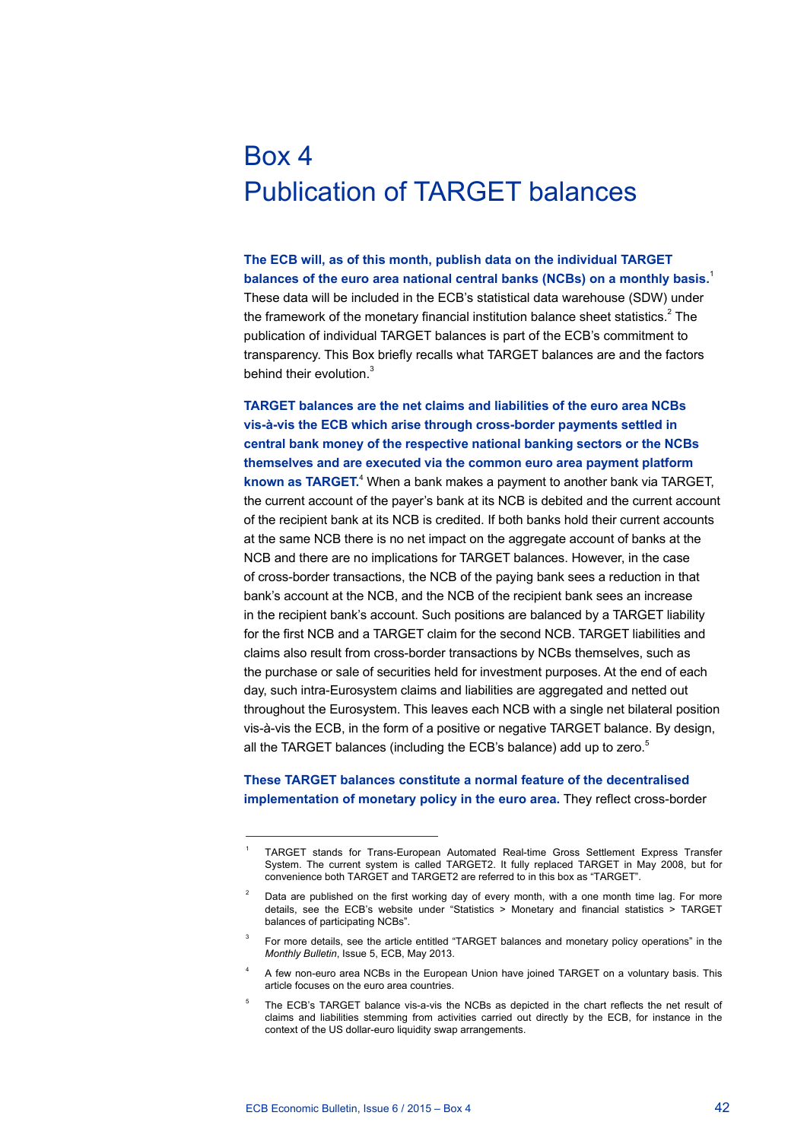## Box 4 Publication of TARGET balances

**The ECB will, as of this month, publish data on the individual TARGET balances of the euro area national central banks (NCBs) on a monthly basis.**<sup>1</sup> These data will be included in the ECB's statistical data warehouse (SDW) under the framework of the monetary financial institution balance sheet statistics.<sup>2</sup> The publication of individual TARGET balances is part of the ECB's commitment to transparency. This Box briefly recalls what TARGET balances are and the factors behind their evolution.<sup>3</sup>

**TARGET balances are the net claims and liabilities of the euro area NCBs vis-à-vis the ECB which arise through cross-border payments settled in central bank money of the respective national banking sectors or the NCBs themselves and are executed via the common euro area payment platform**  known as TARGET.<sup>4</sup> When a bank makes a payment to another bank via TARGET, the current account of the payer's bank at its NCB is debited and the current account of the recipient bank at its NCB is credited. If both banks hold their current accounts at the same NCB there is no net impact on the aggregate account of banks at the NCB and there are no implications for TARGET balances. However, in the case of cross-border transactions, the NCB of the paying bank sees a reduction in that bank's account at the NCB, and the NCB of the recipient bank sees an increase in the recipient bank's account. Such positions are balanced by a TARGET liability for the first NCB and a TARGET claim for the second NCB. TARGET liabilities and claims also result from cross-border transactions by NCBs themselves, such as the purchase or sale of securities held for investment purposes. At the end of each day, such intra-Eurosystem claims and liabilities are aggregated and netted out throughout the Eurosystem. This leaves each NCB with a single net bilateral position vis-à-vis the ECB, in the form of a positive or negative TARGET balance. By design, all the TARGET balances (including the ECB's balance) add up to zero.<sup>5</sup>

## **These TARGET balances constitute a normal feature of the decentralised implementation of monetary policy in the euro area.** They reflect cross-border

<sup>1</sup> TARGET stands for Trans-European Automated Real-time Gross Settlement Express Transfer System. The current system is called TARGET2. It fully replaced TARGET in May 2008, but for convenience both TARGET and TARGET2 are referred to in this box as "TARGET".

Data are published on the first working day of every month, with a one month time lag. For more details, see the ECB's website under "Statistics > Monetary and financial statistics > TARGET balances of participating NCBs".

For more details, see the article entitled "TARGET balances and monetary policy operations" in the *Monthly Bulletin*, Issue 5, ECB, May 2013.

<sup>4</sup> A few non-euro area NCBs in the European Union have joined TARGET on a voluntary basis. This article focuses on the euro area countries.

The ECB's TARGET balance vis-a-vis the NCBs as depicted in the chart reflects the net result of claims and liabilities stemming from activities carried out directly by the ECB, for instance in the context of the US dollar-euro liquidity swap arrangements.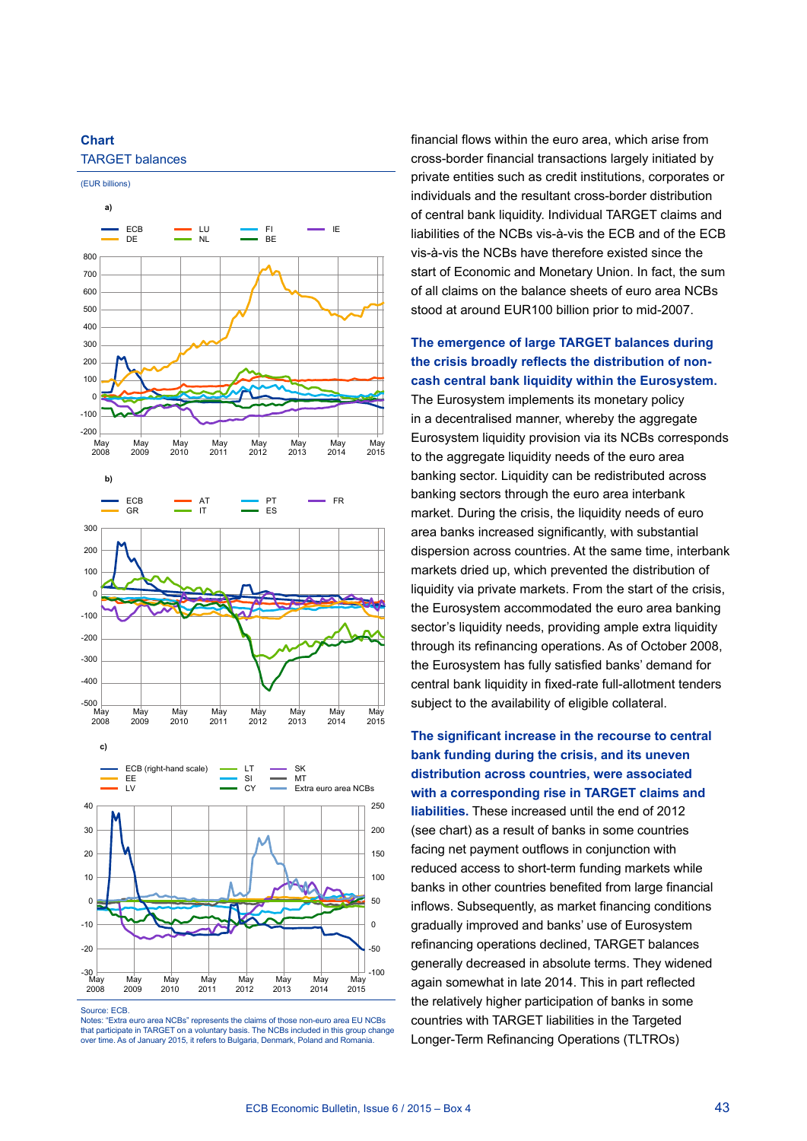





Source: ECB

Notes: "Extra euro area NCBs" represents the claims of those non-euro area EU NCBs that participate in TARGET on a voluntary basis. The NCBs included in this group change over time. As of January 2015, it refers to Bulgaria, Denmark, Poland and Romania.

financial flows within the euro area, which arise from cross-border financial transactions largely initiated by private entities such as credit institutions, corporates or individuals and the resultant cross-border distribution of central bank liquidity. Individual TARGET claims and liabilities of the NCBs vis-à-vis the ECB and of the ECB vis-à-vis the NCBs have therefore existed since the start of Economic and Monetary Union. In fact, the sum of all claims on the balance sheets of euro area NCBs stood at around EUR100 billion prior to mid-2007.

**The emergence of large TARGET balances during the crisis broadly reflects the distribution of noncash central bank liquidity within the Eurosystem.**  The Eurosystem implements its monetary policy in a decentralised manner, whereby the aggregate Eurosystem liquidity provision via its NCBs corresponds to the aggregate liquidity needs of the euro area banking sector. Liquidity can be redistributed across banking sectors through the euro area interbank market. During the crisis, the liquidity needs of euro area banks increased significantly, with substantial dispersion across countries. At the same time, interbank markets dried up, which prevented the distribution of liquidity via private markets. From the start of the crisis, the Eurosystem accommodated the euro area banking sector's liquidity needs, providing ample extra liquidity through its refinancing operations. As of October 2008, the Eurosystem has fully satisfied banks' demand for central bank liquidity in fixed-rate full-allotment tenders subject to the availability of eligible collateral.

**The significant increase in the recourse to central bank funding during the crisis, and its uneven distribution across countries, were associated with a corresponding rise in TARGET claims and liabilities.** These increased until the end of 2012 (see chart) as a result of banks in some countries facing net payment outflows in conjunction with reduced access to short-term funding markets while banks in other countries benefited from large financial inflows. Subsequently, as market financing conditions gradually improved and banks' use of Eurosystem refinancing operations declined, TARGET balances generally decreased in absolute terms. They widened again somewhat in late 2014. This in part reflected the relatively higher participation of banks in some countries with TARGET liabilities in the Targeted Longer-Term Refinancing Operations (TLTROs)